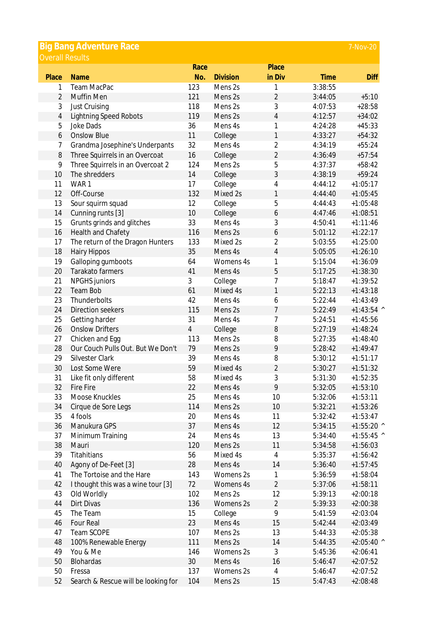| <b>Big Bang Adventure Race</b><br>7-Nov-20 |                                     |                |                 |                |             |              |  |  |  |  |
|--------------------------------------------|-------------------------------------|----------------|-----------------|----------------|-------------|--------------|--|--|--|--|
| <b>Overall Results</b>                     |                                     |                |                 |                |             |              |  |  |  |  |
|                                            |                                     | Race           |                 | Place          |             |              |  |  |  |  |
| Place                                      | <b>Name</b>                         | No.            | <b>Division</b> | in Div         | <b>Time</b> | <b>Diff</b>  |  |  |  |  |
| 1                                          | Team MacPac                         | 123            | Mens 2s         | 1              | 3:38:55     |              |  |  |  |  |
| $\overline{2}$                             | Muffin Men                          | 121            | Mens 2s         | $\overline{2}$ | 3:44:05     | $+5:10$      |  |  |  |  |
| 3                                          | Just Cruising                       | 118            | Mens 2s         | 3              | 4:07:53     | $+28:58$     |  |  |  |  |
| $\overline{4}$                             | <b>Lightning Speed Robots</b>       | 119            | Mens 2s         | 4              | 4:12:57     | $+34:02$     |  |  |  |  |
| 5                                          | <b>Joke Dads</b>                    | 36             | Mens 4s         | 1              | 4:24:28     | $+45:33$     |  |  |  |  |
| 6                                          | <b>Onslow Blue</b>                  | 11             | College         | $\mathbf{1}$   | 4:33:27     | $+54:32$     |  |  |  |  |
| 7                                          | Grandma Josephine's Underpants      | 32             | Mens 4s         | 2              | 4:34:19     | $+55:24$     |  |  |  |  |
| 8                                          | Three Squirrels in an Overcoat      | 16             | College         | $\overline{2}$ | 4:36:49     | $+57:54$     |  |  |  |  |
| 9                                          | Three Squirrels in an Overcoat 2    | 124            | Mens 2s         | 5              | 4:37:37     | $+58:42$     |  |  |  |  |
| 10                                         | The shredders                       | 14             | College         | 3              | 4:38:19     | $+59:24$     |  |  |  |  |
| 11                                         | WAR1                                | 17             | College         | 4              | 4:44:12     | $+1:05:17$   |  |  |  |  |
| 12                                         | Off-Course                          | 132            | Mixed 2s        | $\mathbf{1}$   | 4:44:40     | $+1:05:45$   |  |  |  |  |
| 13                                         | Sour squirm squad                   | 12             | College         | 5              | 4:44:43     | $+1:05:48$   |  |  |  |  |
| 14                                         | Cunning runts [3]                   | 10             | College         | 6              | 4:47:46     | $+1:08:51$   |  |  |  |  |
| 15                                         | Grunts grinds and glitches          | 33             | Mens 4s         | 3              | 4:50:41     | $+1:11:46$   |  |  |  |  |
| 16                                         | Health and Chafety                  | 116            | Mens 2s         | 6              | 5:01:12     | $+1:22:17$   |  |  |  |  |
| 17                                         | The return of the Dragon Hunters    | 133            | Mixed 2s        | 2              | 5:03:55     | $+1:25:00$   |  |  |  |  |
| 18                                         | <b>Hairy Hippos</b>                 | 35             | Mens 4s         | $\overline{4}$ | 5:05:05     | $+1:26:10$   |  |  |  |  |
| 19                                         | Galloping gumboots                  | 64             | Womens 4s       | 1              | 5:15:04     | $+1:36:09$   |  |  |  |  |
| 20                                         | Tarakato farmers                    | 41             | Mens 4s         | 5              | 5:17:25     | $+1:38:30$   |  |  |  |  |
| 21                                         | <b>NPGHS</b> juniors                | 3              | College         | 7              | 5:18:47     | $+1:39:52$   |  |  |  |  |
| 22                                         | <b>Team Bob</b>                     | 61             | Mixed 4s        | 1              | 5:22:13     | $+1:43:18$   |  |  |  |  |
| 23                                         | Thunderbolts                        | 42             | Mens 4s         | 6              | 5:22:44     | $+1:43:49$   |  |  |  |  |
| 24                                         | Direction seekers                   | 115            | Mens 2s         | $\overline{7}$ | 5:22:49     | $+1:43:54$ ^ |  |  |  |  |
| 25                                         | Getting harder                      | 31             | Mens 4s         | 7              | 5:24:51     | $+1:45:56$   |  |  |  |  |
| 26                                         | <b>Onslow Drifters</b>              | $\overline{4}$ | College         | 8              | 5:27:19     | $+1:48:24$   |  |  |  |  |
| 27                                         | Chicken and Egg                     | 113            | Mens 2s         | 8              | 5:27:35     | $+1:48:40$   |  |  |  |  |
| 28                                         | Our Couch Pulls Out. But We Don't   | 79             | Mens 2s         | 9              | 5:28:42     | $+1:49:47$   |  |  |  |  |
| 29                                         | Silvester Clark                     | 39             | Mens 4s         | 8              | 5:30:12     | $+1:51:17$   |  |  |  |  |
| 30                                         | Lost Some Were                      | 59             | Mixed 4s        | $\overline{2}$ | 5:30:27     | $+1:51:32$   |  |  |  |  |
| 31                                         | Like fit only different             | 58             | Mixed 4s        | 3              | 5:31:30     | $+1:52:35$   |  |  |  |  |
| 32                                         | <b>Fire Fire</b>                    | 22             | Mens 4s         | 9              | 5:32:05     | $+1:53:10$   |  |  |  |  |
| 33                                         | Moose Knuckles                      | 25             | Mens 4s         | 10             | 5:32:06     | $+1:53:11$   |  |  |  |  |
| 34                                         | Cirque de Sore Legs                 | 114            | Mens 2s         | 10             | 5:32:21     | $+1:53:26$   |  |  |  |  |
| 35                                         | 4 fools                             | 20             | Mens 4s         | 11             | 5:32:42     | $+1:53:47$   |  |  |  |  |
| 36                                         | Manukura GPS                        | 37             | Mens 4s         | 12             | 5:34:15     | $+1:55:20$ ^ |  |  |  |  |
| 37                                         | Minimum Training                    | 24             | Mens 4s         | 13             | 5:34:40     | $+1:55:45$ ^ |  |  |  |  |
| 38                                         | Mauri                               | 120            | Mens 2s         | 11             | 5:34:58     | $+1:56:03$   |  |  |  |  |
| 39                                         | Titahitians                         | 56             | Mixed 4s        | $\overline{4}$ | 5:35:37     | $+1:56:42$   |  |  |  |  |
| 40                                         | Agony of De-Feet [3]                | 28             | Mens 4s         | 14             | 5:36:40     | $+1:57:45$   |  |  |  |  |
| 41                                         | The Tortoise and the Hare           | 143            | Womens 2s       | 1              | 5:36:59     | $+1:58:04$   |  |  |  |  |
| 42                                         | I thought this was a wine tour [3]  | 72             | Womens 4s       | $\overline{2}$ | 5:37:06     | $+1:58:11$   |  |  |  |  |
| 43                                         | Old Worldly                         | 102            | Mens 2s         | 12             | 5:39:13     | $+2:00:18$   |  |  |  |  |
| 44                                         | Dirt Divas                          | 136            | Womens 2s       | $\overline{2}$ | 5:39:33     | $+2:00:38$   |  |  |  |  |
| 45                                         | The Team                            | 15             | College         | 9              | 5:41:59     | $+2:03:04$   |  |  |  |  |
| 46                                         | Four Real                           | 23             | Mens 4s         | 15             | 5:42:44     | $+2:03:49$   |  |  |  |  |
| 47                                         | Team SCOPE                          | 107            | Mens 2s         | 13             | 5:44:33     | $+2:05:38$   |  |  |  |  |
| 48                                         | 100% Renewable Energy               | 111            | Mens 2s         | 14             | 5:44:35     | $+2:05:40$ ^ |  |  |  |  |
| 49                                         | You & Me                            | 146            | Womens 2s       | 3              | 5:45:36     | $+2:06:41$   |  |  |  |  |
| 50                                         | Blohardas                           | 30             | Mens 4s         | 16             | 5:46:47     | $+2:07:52$   |  |  |  |  |
| 50                                         | Fressa                              | 137            | Womens 2s       | $\overline{4}$ | 5:46:47     | $+2:07:52$   |  |  |  |  |
| 52                                         | Search & Rescue will be looking for | 104            | Mens 2s         | 15             | 5:47:43     | $+2:08:48$   |  |  |  |  |
|                                            |                                     |                |                 |                |             |              |  |  |  |  |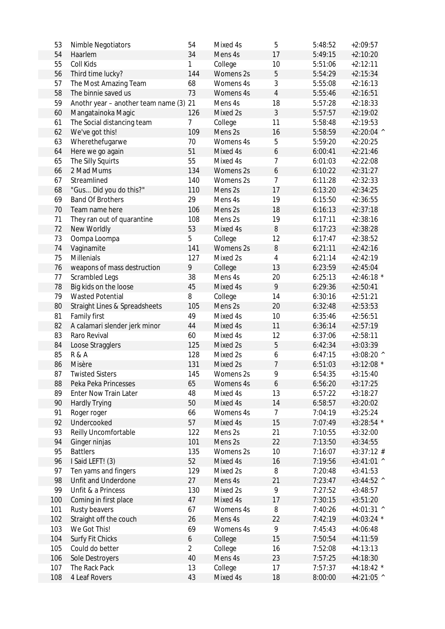| 53  | Nimble Negotiators                       | 54             | Mixed 4s  | 5                | 5:48:52 | $+2:09:57$   |
|-----|------------------------------------------|----------------|-----------|------------------|---------|--------------|
| 54  | Haarlem                                  | 34             | Mens 4s   | 17               | 5:49:15 | $+2:10:20$   |
| 55  | Coll Kids                                | 1              | College   | 10               | 5:51:06 | $+2:12:11$   |
| 56  | Third time lucky?                        | 144            | Womens 2s | 5                | 5:54:29 | $+2:15:34$   |
| 57  | The Most Amazing Team                    | 68             | Womens 4s | 3                | 5:55:08 | $+2:16:13$   |
| 58  | The binnie saved us                      | 73             | Womens 4s | $\overline{4}$   | 5:55:46 | $+2:16:51$   |
| 59  | Anothr year - another team name (3) 21   |                | Mens 4s   | 18               | 5:57:28 | $+2:18:33$   |
| 60  | Mangatainoka Magic                       | 126            | Mixed 2s  | 3                | 5:57:57 | $+2:19:02$   |
| 61  | The Social distancing team               | 7              | College   | 11               | 5:58:48 | $+2:19:53$   |
| 62  | We've got this!                          | 109            | Mens 2s   | 16               | 5:58:59 | $+2:20:04$ ^ |
| 63  | Wherethefugarwe                          | 70             | Womens 4s | 5                | 5:59:20 | $+2:20:25$   |
| 64  | Here we go again                         | 51             | Mixed 4s  | $\boldsymbol{6}$ | 6:00:41 | $+2:21:46$   |
| 65  | The Silly Squirts                        | 55             | Mixed 4s  | 7                | 6:01:03 | $+2:22:08$   |
| 66  | 2 Mad Mums                               | 134            | Womens 2s | 6                | 6:10:22 | $+2:31:27$   |
| 67  | Streamlined                              | 140            | Womens 2s | $\overline{7}$   | 6:11:28 | $+2:32:33$   |
| 68  | "Gus Did you do this?"                   | 110            | Mens 2s   | 17               | 6:13:20 | $+2:34:25$   |
| 69  | <b>Band Of Brothers</b>                  | 29             | Mens 4s   | 19               | 6:15:50 | $+2:36:55$   |
| 70  | Team name here                           | 106            | Mens 2s   | 18               | 6:16:13 | $+2:37:18$   |
| 71  | They ran out of quarantine               | 108            | Mens 2s   | 19               | 6:17:11 | $+2:38:16$   |
| 72  | New Worldly                              | 53             | Mixed 4s  | 8                | 6:17:23 | $+2:38:28$   |
| 73  | Oompa Loompa                             | 5              | College   | 12               | 6:17:47 | $+2:38:52$   |
| 74  | Vaginamite                               | 141            | Womens 2s | $\, 8$           | 6:21:11 | $+2:42:16$   |
| 75  | <b>Millenials</b>                        | 127            | Mixed 2s  | $\overline{4}$   | 6:21:14 | $+2:42:19$   |
| 76  | weapons of mass destruction              | 9              | College   | 13               | 6:23:59 | $+2:45:04$   |
| 77  | Scrambled Legs                           | 38             | Mens 4s   | 20               | 6:25:13 | $+2:46:18$ * |
| 78  | Big kids on the loose                    | 45             | Mixed 4s  | 9                | 6:29:36 | $+2:50:41$   |
| 79  | <b>Wasted Potential</b>                  | 8              | College   | 14               | 6:30:16 | $+2:51:21$   |
| 80  | <b>Straight Lines &amp; Spreadsheets</b> | 105            | Mens 2s   | 20               | 6:32:48 | $+2:53:53$   |
| 81  | Family first                             | 49             | Mixed 4s  | 10               | 6:35:46 | $+2:56:51$   |
| 82  | A calamari slender jerk minor            | 44             | Mixed 4s  | 11               | 6:36:14 | $+2:57:19$   |
| 83  | Raro Revival                             | 60             | Mixed 4s  | 12               | 6:37:06 | $+2:58:11$   |
| 84  | Loose Stragglers                         | 125            | Mixed 2s  | $\sqrt{5}$       | 6:42:34 | $+3:03:39$   |
| 85  | <b>R&amp;A</b>                           | 128            | Mixed 2s  | 6                | 6:47:15 | $+3:08:20$ ^ |
| 86  | Misère                                   | 131            | Mixed 2s  | 7                | 6:51:03 | $+3:12:08$ * |
| 87  | <b>Twisted Sisters</b>                   | 145            | Womens 2s | Q                | 6:54:35 | $+3:15:40$   |
| 88  | Peka Peka Princesses                     | 65             | Womens 4s | 6                | 6:56:20 | $+3:17:25$   |
| 89  | Enter Now Train Later                    | 48             | Mixed 4s  | 13               | 6:57:22 | $+3:18:27$   |
| 90  | <b>Hardly Trying</b>                     | 50             | Mixed 4s  | 14               | 6:58:57 | $+3:20:02$   |
| 91  | Roger roger                              | 66             | Womens 4s | 7                | 7:04:19 | $+3:25:24$   |
| 92  | Undercooked                              | 57             | Mixed 4s  | 15               | 7:07:49 | $+3:28:54$ * |
| 93  | Reilly Uncomfortable                     | 122            | Mens 2s   | 21               | 7:10:55 | $+3:32:00$   |
| 94  | Ginger ninjas                            | 101            | Mens 2s   | 22               | 7:13:50 | $+3:34:55$   |
| 95  | <b>Battlers</b>                          | 135            | Womens 2s | 10               | 7:16:07 | $+3:37:12$ # |
| 96  | I Said LEFT! (3)                         | 52             | Mixed 4s  | 16               | 7:19:56 | $+3:41:01$ ^ |
| 97  | Ten yams and fingers                     | 129            | Mixed 2s  | 8                | 7:20:48 | $+3:41:53$   |
| 98  | Unfit and Underdone                      | 27             | Mens 4s   | 21               | 7:23:47 | $+3:44:52$ ^ |
| 99  | Unfit & a Princess                       | 130            | Mixed 2s  | 9                | 7:27:52 | $+3:48:57$   |
| 100 | Coming in first place                    | 47             | Mixed 4s  | 17               | 7:30:15 | $+3:51:20$   |
| 101 | Rusty beavers                            | 67             | Womens 4s | 8                | 7:40:26 | $+4:01:31$ ^ |
| 102 | Straight off the couch                   | 26             | Mens 4s   | 22               | 7:42:19 | $+4:03:24$ * |
| 103 | We Got This!                             | 69             | Womens 4s | 9                | 7:45:43 | $+4:06:48$   |
| 104 | Surfy Fit Chicks                         | 6              | College   | 15               | 7:50:54 | $+4:11:59$   |
| 105 | Could do better                          | $\overline{2}$ | College   | 16               | 7:52:08 | $+4:13:13$   |
| 106 | Sole Destroyers                          | 40             | Mens 4s   | 23               | 7:57:25 | $+4:18:30$   |
| 107 | The Rack Pack                            | 13             | College   | 17               | 7:57:37 | $+4:18:42$ * |
| 108 | 4 Leaf Rovers                            | 43             | Mixed 4s  | 18               | 8:00:00 | $+4:21:05$ ^ |
|     |                                          |                |           |                  |         |              |